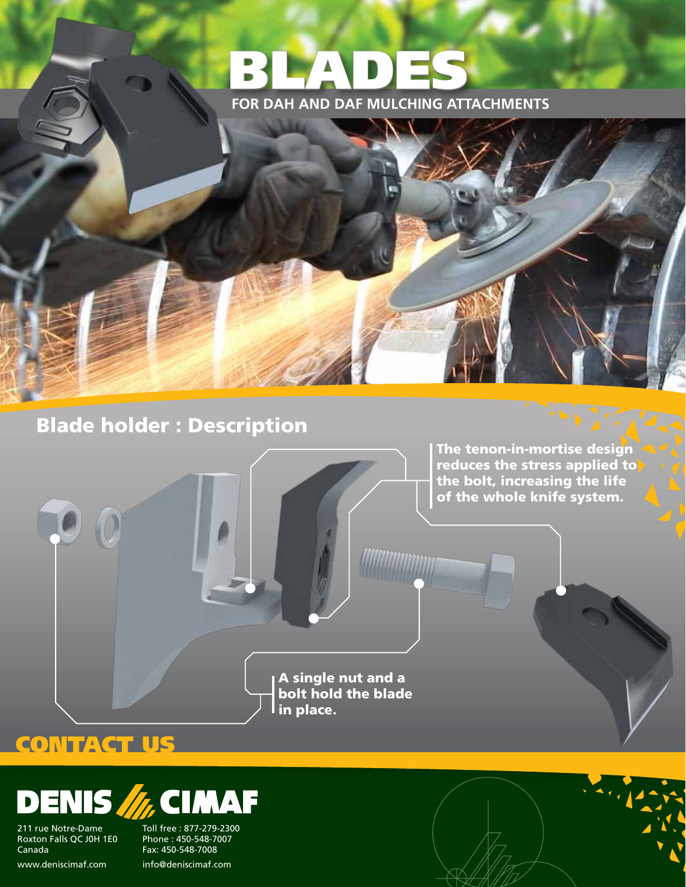



The tenon-in-mortise design reduces the stress applied to the bolt, increasing the life of the whole knife system.

A single nut and a bolt hold the blade  $\overline{\mathsf{I}}$ in place.

### **CONTACT US**

#### ENIS //, CIMA ┃∃

211 rue Notre-Dame Roxton Falls QC J0H 1E0 Canada

Toll free : 877-279-2300 Phone : 450-548-7007 Fax: 450-548-7008 www.deniscimaf.com info@deniscimaf.com